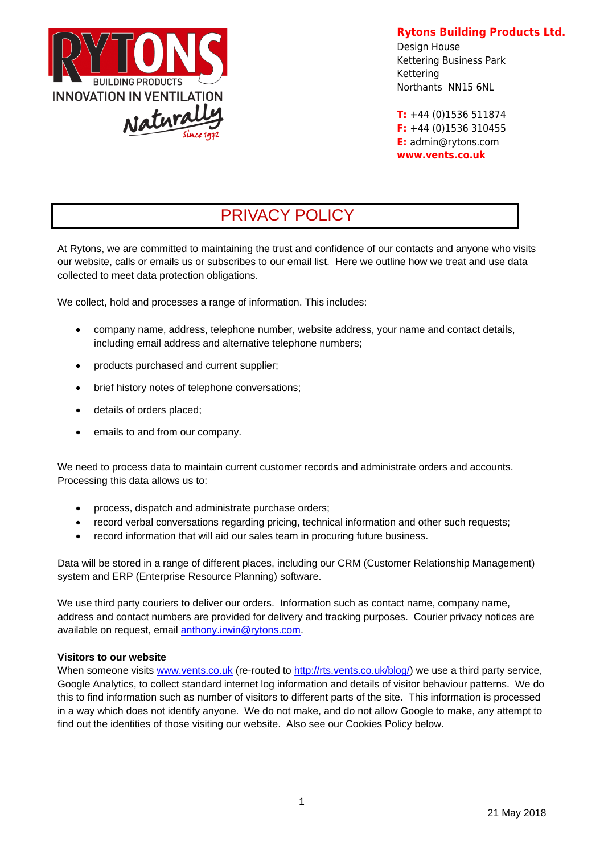

**Rytons Building Products Ltd.** 

Design House Kettering Business Park Kettering Northants NN15 6NL

**T:** +44 (0)1536 511874 **F:** +44 (0)1536 310455 **E:** admin@rytons.com **www.vents.co.uk** 

# PRIVACY POLICY

At Rytons, we are committed to maintaining the trust and confidence of our contacts and anyone who visits our website, calls or emails us or subscribes to our email list. Here we outline how we treat and use data collected to meet data protection obligations.

We collect, hold and processes a range of information. This includes:

- company name, address, telephone number, website address, your name and contact details, including email address and alternative telephone numbers;
- products purchased and current supplier:
- brief history notes of telephone conversations;
- details of orders placed;
- emails to and from our company.

We need to process data to maintain current customer records and administrate orders and accounts. Processing this data allows us to:

- process, dispatch and administrate purchase orders;
- record verbal conversations regarding pricing, technical information and other such requests;
- record information that will aid our sales team in procuring future business.

Data will be stored in a range of different places, including our CRM (Customer Relationship Management) system and ERP (Enterprise Resource Planning) software.

We use third party couriers to deliver our orders. Information such as contact name, company name, address and contact numbers are provided for delivery and tracking purposes. Courier privacy notices are available on request, email anthony.irwin@rytons.com.

#### **Visitors to our website**

When someone visits www.vents.co.uk (re-routed to http://rts.vents.co.uk/blog/) we use a third party service, Google Analytics, to collect standard internet log information and details of visitor behaviour patterns. We do this to find information such as number of visitors to different parts of the site. This information is processed in a way which does not identify anyone. We do not make, and do not allow Google to make, any attempt to find out the identities of those visiting our website. Also see our Cookies Policy below.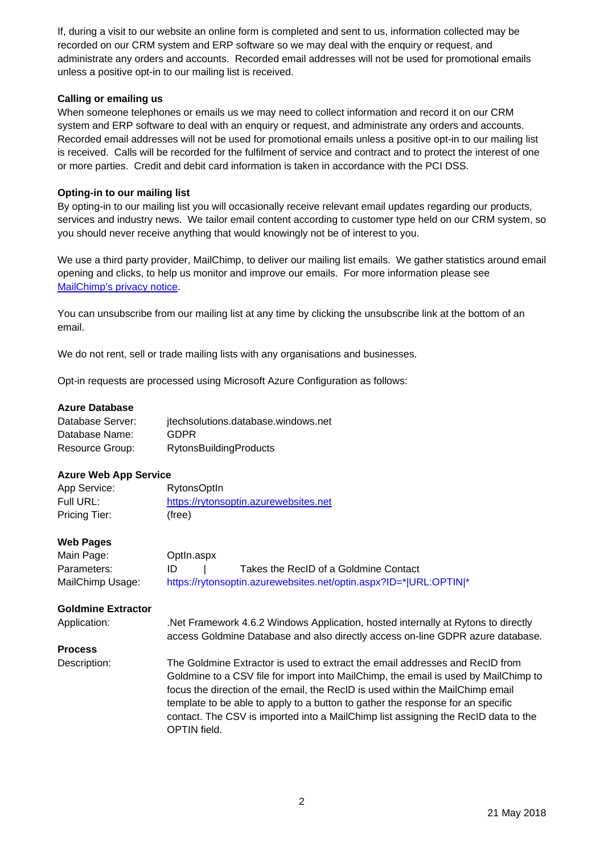If, during a visit to our website an online form is completed and sent to us, information collected may be recorded on our CRM system and ERP software so we may deal with the enquiry or request, and administrate any orders and accounts. Recorded email addresses will not be used for promotional emails unless a positive opt-in to our mailing list is received.

# **Calling or emailing us**

When someone telephones or emails us we may need to collect information and record it on our CRM system and ERP software to deal with an enquiry or request, and administrate any orders and accounts. Recorded email addresses will not be used for promotional emails unless a positive opt-in to our mailing list is received. Calls will be recorded for the fulfilment of service and contract and to protect the interest of one or more parties. Credit and debit card information is taken in accordance with the PCI DSS.

# **Opting-in to our mailing list**

By opting-in to our mailing list you will occasionally receive relevant email updates regarding our products, services and industry news. We tailor email content according to customer type held on our CRM system, so you should never receive anything that would knowingly not be of interest to you.

We use a third party provider, MailChimp, to deliver our mailing list emails. We gather statistics around email opening and clicks, to help us monitor and improve our emails. For more information please see MailChimp's privacy notice.

You can unsubscribe from our mailing list at any time by clicking the unsubscribe link at the bottom of an email.

We do not rent, sell or trade mailing lists with any organisations and businesses.

Opt-in requests are processed using Microsoft Azure Configuration as follows:

# **Azure Database**

| Database Server: | jtechsolutions.database.windows.net |
|------------------|-------------------------------------|
| Database Name:   | <b>GDPR</b>                         |
| Resource Group:  | <b>RytonsBuildingProducts</b>       |

# **Azure Web App Service**

| App Service:  | <b>RytonsOptIn</b>                    |
|---------------|---------------------------------------|
| Full URL:     | https://rytonsoptin.azurewebsites.net |
| Pricing Tier: | (free)                                |

# **Web Pages**

| Main Page:       | Optln.aspx                                                        |
|------------------|-------------------------------------------------------------------|
| Parameters:      | Takes the RecID of a Goldmine Contact<br>ID                       |
| MailChimp Usage: | https://rytonsoptin.azurewebsites.net/optin.aspx?ID=* URL:OPTIN * |

#### **Goldmine Extractor**

Application: .Net Framework 4.6.2 Windows Application, hosted internally at Rytons to directly access Goldmine Database and also directly access on-line GDPR azure database.

#### **Process**

Description: The Goldmine Extractor is used to extract the email addresses and RecID from Goldmine to a CSV file for import into MailChimp, the email is used by MailChimp to focus the direction of the email, the RecID is used within the MailChimp email template to be able to apply to a button to gather the response for an specific contact. The CSV is imported into a MailChimp list assigning the RecID data to the OPTIN field.